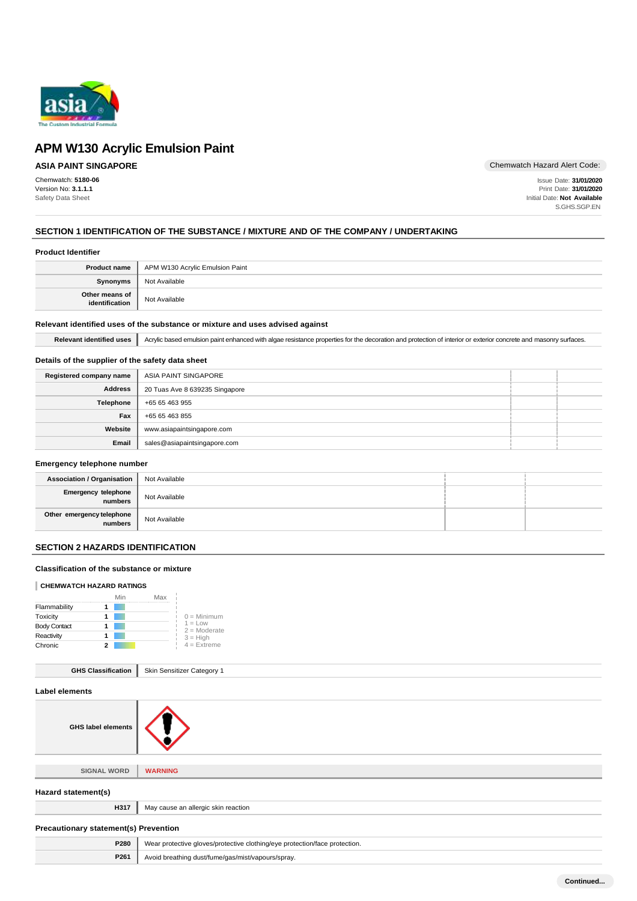

# **ASIA PAINT SINGAPORE**

Chemwatch: **5180-06** Version No: **3.1.1.1** Safety Data Sheet

Chemwatch Hazard Alert Code:

Issue Date: **31/01/2020** Print Date: **31/01/2020** Initial Date: **Not Available** S.GHS.SGP.EN

# **SECTION 1 IDENTIFICATION OF THE SUBSTANCE / MIXTURE AND OF THE COMPANY / UNDERTAKING**

### **Product Identifier**

|                                  | <b>Product name</b>   APM W130 Acrylic Emulsion Paint |
|----------------------------------|-------------------------------------------------------|
| <b>Synonyms</b>                  | Not Available                                         |
| Other means of<br>identification | Not Available                                         |

# **Relevant identified uses of the substance or mixture and uses advised against**

Relevant identified uses **Acrylic based emulsion paint enhanced with algae resistance properties for the decoration and protection of interior or exterior concrete and masonry surfaces.** 

# **Details of the supplier of the safety data sheet**

| Registered company name | ASIA PAINT SINGAPORE           |  |
|-------------------------|--------------------------------|--|
| <b>Address</b>          | 20 Tuas Ave 8 639235 Singapore |  |
| Telephone               | +65 65 463 955                 |  |
| Fax                     | +65 65 463 855                 |  |
| Website                 | www.asiapaintsingapore.com     |  |
| Email                   | sales@asiapaintsingapore.com   |  |

### **Emergency telephone number**

| Association / Organisation           | Not Available |  |
|--------------------------------------|---------------|--|
| Emergency telephone<br>numbers       | Not Available |  |
| Other emergency telephone<br>numbers | Not Available |  |

# **SECTION 2 HAZARDS IDENTIFICATION**

# **Classification of the substance or mixture**

### **CHEMWATCH HAZARD RATINGS**

|                     |   | Min | Max |                             |
|---------------------|---|-----|-----|-----------------------------|
| Flammability        |   |     |     |                             |
| Toxicity            |   |     |     | $0 =$ Minimum               |
| <b>Body Contact</b> |   |     |     | $1 = Low$<br>$2 =$ Moderate |
| Reactivity          |   |     |     | $3 = High$                  |
| Chronic             | 2 |     |     | $4 =$ Extreme               |

| <b>GHS Classification</b> |  | Skin Sensitizer Category 1 |
|---------------------------|--|----------------------------|
|---------------------------|--|----------------------------|



**SIGNAL WORD WARNING**

# **Hazard statement(s) H317** May cause an allergic skin reaction **Precautionary statement(s) Prevention P280** Wear protective gloves/protective clothing/eye protection/face protection. **P261** Avoid breathing dust/fume/gas/mist/vapours/spray.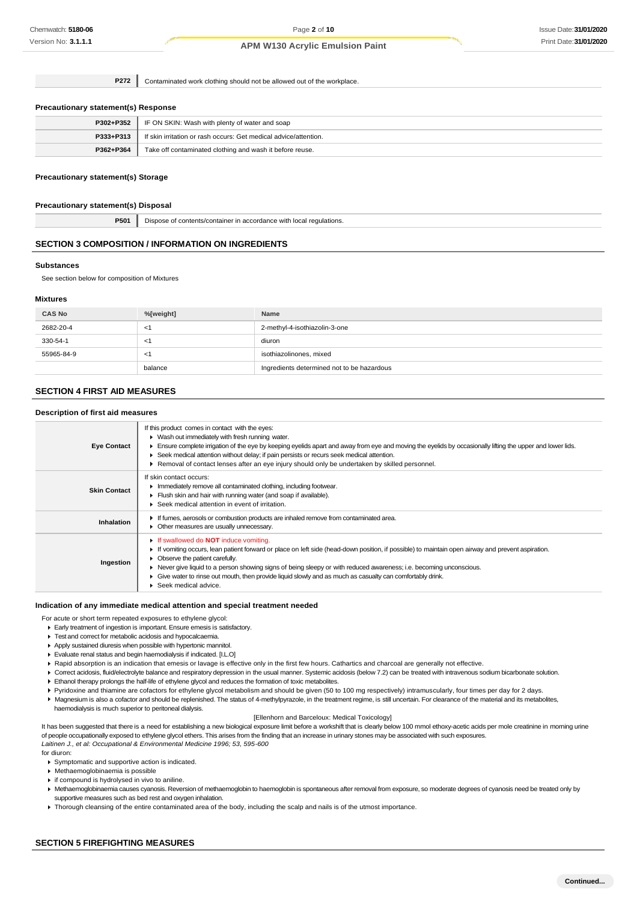**P272** Contaminated work clothing should not be allowed out of the workplace.

#### **Precautionary statement(s) Response**

| P302+P352 | IF ON SKIN: Wash with plenty of water and soap                   |
|-----------|------------------------------------------------------------------|
| P333+P313 | If skin irritation or rash occurs: Get medical advice/attention. |
| P362+P364 | Take off contaminated clothing and wash it before reuse.         |

### **Precautionary statement(s) Storage**

#### **Precautionary statement(s) Disposal**

**P501** Dispose of contents/container in accordance with local regulations.

### **SECTION 3 COMPOSITION / INFORMATION ON INGREDIENTS**

#### **Substances**

See section below for composition of Mixtures

#### **Mixtures**

| <b>CAS No</b> | %[weight] | Name                                       |
|---------------|-----------|--------------------------------------------|
| 2682-20-4     | - <1      | 2-methyl-4-isothiazolin-3-one              |
| 330-54-1      | - < 1     | diuron                                     |
| 55965-84-9    | -1        | isothiazolinones, mixed                    |
|               | balance   | Ingredients determined not to be hazardous |

# **SECTION 4 FIRST AID MEASURES**

### **Description of first aid measures**

| <b>Eye Contact</b>  | If this product comes in contact with the eyes:<br>• Wash out immediately with fresh running water.<br>Ensure complete irrigation of the eye by keeping eyelids apart and away from eye and moving the eyelids by occasionally lifting the upper and lower lids.<br>▶ Seek medical attention without delay; if pain persists or recurs seek medical attention.<br>Removal of contact lenses after an eye injury should only be undertaken by skilled personnel.                                      |
|---------------------|------------------------------------------------------------------------------------------------------------------------------------------------------------------------------------------------------------------------------------------------------------------------------------------------------------------------------------------------------------------------------------------------------------------------------------------------------------------------------------------------------|
| <b>Skin Contact</b> | If skin contact occurs:<br>Immediately remove all contaminated clothing, including footwear.<br>Flush skin and hair with running water (and soap if available).<br>Seek medical attention in event of irritation.                                                                                                                                                                                                                                                                                    |
| Inhalation          | If fumes, aerosols or combustion products are inhaled remove from contaminated area.<br>• Other measures are usually unnecessary.                                                                                                                                                                                                                                                                                                                                                                    |
| Ingestion           | If swallowed do <b>NOT</b> induce vomiting.<br>If vomiting occurs, lean patient forward or place on left side (head-down position, if possible) to maintain open airway and prevent aspiration.<br>• Observe the patient carefully.<br>▶ Never give liquid to a person showing signs of being sleepy or with reduced awareness; i.e. becoming unconscious.<br>Give water to rinse out mouth, then provide liquid slowly and as much as casualty can comfortably drink.<br>۰.<br>Seek medical advice. |

#### **Indication of any immediate medical attention and special treatment needed**

For acute or short term repeated exposures to ethylene glycol:

- Early treatment of ingestion is important. Ensure emesis is satisfactory.
- Test and correct for metabolic acidosis and hypocalcaemia.
- Apply sustained diuresis when possible with hypertonic mannitol.
- Evaluate renal status and begin haemodialysis if indicated. [I.L.O]
- ▶ Rapid absorption is an indication that emesis or lavage is effective only in the first few hours. Cathartics and charcoal are generally not effective.
- Correct acidosis, fluid/electrolyte balance and respiratory depression in the usual manner. Systemic acidosis (below 7.2) can be treated with intravenous sodium bicarbonate solution.
- Ethanol therapy prolongs the half-life of ethylene glycol and reduces the formation of toxic metabolites.
- Pyridoxine and thiamine are cofactors for ethylene glycol metabolism and should be given (50 to 100 mg respectively) intramuscularly, four times per day for 2 days.

Magnesium is also a cofactor and should be replenished. The status of 4-methylpyrazole, in the treatment regime, is still uncertain. For clearance of the material and its metabolites, haemodialysis is much superior to peritoneal dialysis.

### [Ellenhorn and Barceloux: Medical Toxicology]

It has been suggested that there is a need for establishing a new biological exposure limit before a workshift that is clearly below 100 mmol ethoxy-acetic acids per mole creatinine in morning urine of people occupationally exposed to ethylene glycol ethers. This arises from the finding that an increase in urinary stones may be associated with such exposures. *Laitinen J., et al: Occupational & Environmental Medicine 1996; 53, 595-600*

#### for diuron:

Symptomatic and supportive action is indicated.

- Methaemoglobinaemia is possible
- if compound is hydrolysed in vivo to aniline.
- Methaemoglobinaemia causes cyanosis. Reversion of methaemoglobin to haemoglobin is spontaneous after removal from exposure, so moderate degrees of cyanosis need be treated only by supportive measures such as bed rest and oxygen inhalation.
- Thorough cleansing of the entire contaminated area of the body, including the scalp and nails is of the utmost importance.

## **SECTION 5 FIREFIGHTING MEASURES**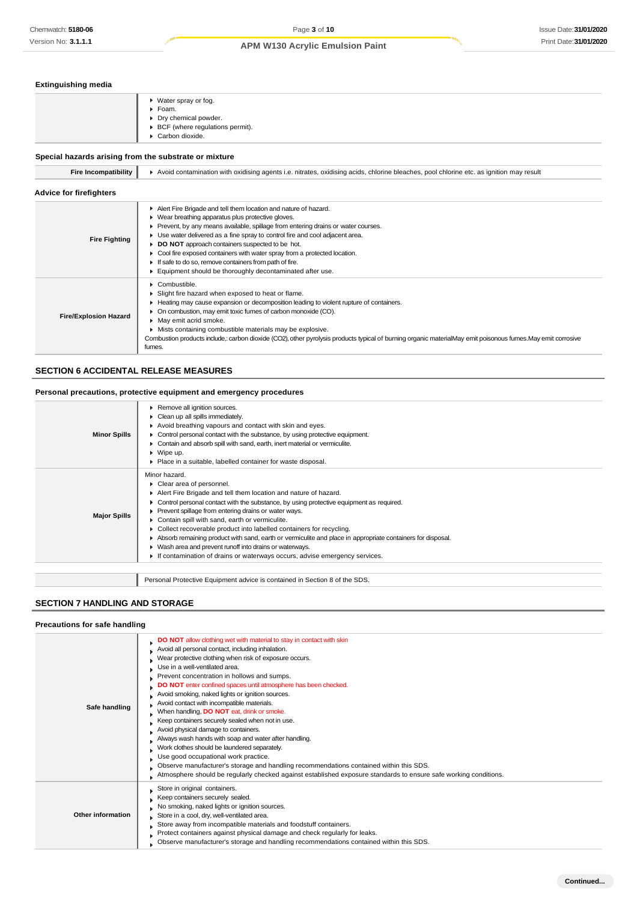# **Extinguishing media**

| ▶ Water spray or fog.<br>▶ Foam.<br>• Dry chemical powder.<br>▶ BCF (where regulations permit).<br>Carbon dioxide. |
|--------------------------------------------------------------------------------------------------------------------|
|                                                                                                                    |

# **Special hazards arising from the substrate or mixture**

| <b>Fire Incompatibility</b>    | Avoid contamination with oxidising agents i.e. nitrates, oxidising acids, chlorine bleaches, pool chlorine etc. as ignition may result                                                                                                                                                                                                                                                                                                                                                                                                            |
|--------------------------------|---------------------------------------------------------------------------------------------------------------------------------------------------------------------------------------------------------------------------------------------------------------------------------------------------------------------------------------------------------------------------------------------------------------------------------------------------------------------------------------------------------------------------------------------------|
| <b>Advice for firefighters</b> |                                                                                                                                                                                                                                                                                                                                                                                                                                                                                                                                                   |
| <b>Fire Fighting</b>           | Alert Fire Brigade and tell them location and nature of hazard.<br>• Wear breathing apparatus plus protective gloves.<br>Prevent, by any means available, spillage from entering drains or water courses.<br>• Use water delivered as a fine spray to control fire and cool adjacent area.<br>DO NOT approach containers suspected to be hot.<br>• Cool fire exposed containers with water spray from a protected location.<br>If safe to do so, remove containers from path of fire.<br>Equipment should be thoroughly decontaminated after use. |
| <b>Fire/Explosion Hazard</b>   | Combustible.<br>Slight fire hazard when exposed to heat or flame.<br>• Heating may cause expansion or decomposition leading to violent rupture of containers.<br>• On combustion, may emit toxic fumes of carbon monoxide (CO).<br>• May emit acrid smoke.<br>Mists containing combustible materials may be explosive.<br>Combustion products include, carbon dioxide (CO2), other pyrolysis products typical of burning organic materialMay emit poisonous fumes. May emit corrosive<br>fumes.                                                   |

# **SECTION 6 ACCIDENTAL RELEASE MEASURES**

# **Personal precautions, protective equipment and emergency procedures**

| Minor hazard.<br>Clear area of personnel.<br>Alert Fire Brigade and tell them location and nature of hazard.                                                                                                                                                                                                                                                                                                                                                                                                                                            |  |
|---------------------------------------------------------------------------------------------------------------------------------------------------------------------------------------------------------------------------------------------------------------------------------------------------------------------------------------------------------------------------------------------------------------------------------------------------------------------------------------------------------------------------------------------------------|--|
| Control personal contact with the substance, by using protective equipment as required.<br>Prevent spillage from entering drains or water ways.<br><b>Major Spills</b><br>Contain spill with sand, earth or vermiculite.<br>Collect recoverable product into labelled containers for recycling.<br>Absorb remaining product with sand, earth or vermiculite and place in appropriate containers for disposal.<br>▶ Wash area and prevent runoff into drains or waterways.<br>If contamination of drains or waterways occurs, advise emergency services. |  |
| Personal Protective Equipment advice is contained in Section 8 of the SDS.                                                                                                                                                                                                                                                                                                                                                                                                                                                                              |  |

# **SECTION 7 HANDLING AND STORAGE**

### **Precautions for safe handling**

| Safe handling     | DO NOT allow clothing wet with material to stay in contact with skin<br>Avoid all personal contact, including inhalation.<br>Wear protective clothing when risk of exposure occurs.<br>Use in a well-ventilated area.<br>Prevent concentration in hollows and sumps.<br>DO NOT enter confined spaces until atmosphere has been checked.<br>Avoid smoking, naked lights or ignition sources.<br>Avoid contact with incompatible materials.<br>When handling, DO NOT eat, drink or smoke.<br>Keep containers securely sealed when not in use.<br>Avoid physical damage to containers.<br>Always wash hands with soap and water after handling.<br>Work clothes should be laundered separately.<br>Use good occupational work practice.<br>Observe manufacturer's storage and handling recommendations contained within this SDS.<br>Atmosphere should be regularly checked against established exposure standards to ensure safe working conditions. |
|-------------------|----------------------------------------------------------------------------------------------------------------------------------------------------------------------------------------------------------------------------------------------------------------------------------------------------------------------------------------------------------------------------------------------------------------------------------------------------------------------------------------------------------------------------------------------------------------------------------------------------------------------------------------------------------------------------------------------------------------------------------------------------------------------------------------------------------------------------------------------------------------------------------------------------------------------------------------------------|
| Other information | Store in original containers.<br>Keep containers securely sealed.<br>No smoking, naked lights or ignition sources.<br>Store in a cool, dry, well-ventilated area.<br>Store away from incompatible materials and foodstuff containers.<br>Protect containers against physical damage and check regularly for leaks.<br>Observe manufacturer's storage and handling recommendations contained within this SDS.                                                                                                                                                                                                                                                                                                                                                                                                                                                                                                                                       |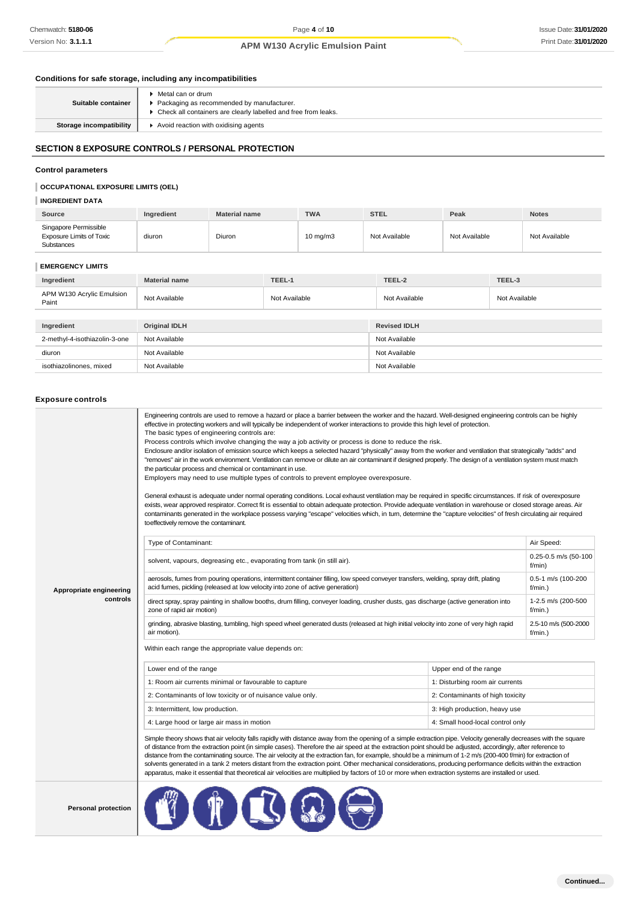### **Conditions for safe storage, including any incompatibilities**

| Suitable container             | ▶ Metal can or drum<br>Packaging as recommended by manufacturer.<br>• Check all containers are clearly labelled and free from leaks. |
|--------------------------------|--------------------------------------------------------------------------------------------------------------------------------------|
| <b>Storage incompatibility</b> | Avoid reaction with oxidising agents                                                                                                 |

# **SECTION 8 EXPOSURE CONTROLS / PERSONAL PROTECTION**

### **Control parameters**

# **OCCUPATIONAL EXPOSURE LIMITS (OEL)**

# **INGREDIENT DATA**

| Source                                                                 | Ingredient | <b>Material name</b> | <b>TWA</b>        | <b>STEL</b>   | Peak          | <b>Notes</b>  |
|------------------------------------------------------------------------|------------|----------------------|-------------------|---------------|---------------|---------------|
| Singapore Permissible<br><b>Exposure Limits of Toxic</b><br>Substances | diuron     | Diuron               | $10 \text{ mg/m}$ | Not Available | Not Available | Not Available |

# **EMERGENCY LIMITS**

| Ingredient                         | <b>Material name</b> | TEEL-1        | TEEL-2              | TEEL-3        |  |
|------------------------------------|----------------------|---------------|---------------------|---------------|--|
| APM W130 Acrylic Emulsion<br>Paint | Not Available        | Not Available | Not Available       | Not Available |  |
|                                    |                      |               |                     |               |  |
| Ingredient                         | Original IDLH        |               | <b>Revised IDLH</b> |               |  |
| 2-methyl-4-isothiazolin-3-one      | Not Available        |               | Not Available       |               |  |
| diuron                             | Not Available        |               | Not Available       |               |  |
| isothiazolinones, mixed            | Not Available        |               | Not Available       |               |  |

### **Exposure controls**

|                            | Engineering controls are used to remove a hazard or place a barrier between the worker and the hazard. Well-designed engineering controls can be highly<br>effective in protecting workers and will typically be independent of worker interactions to provide this high level of protection.<br>The basic types of engineering controls are:<br>Process controls which involve changing the way a job activity or process is done to reduce the risk.<br>Enclosure and/or isolation of emission source which keeps a selected hazard "physically" away from the worker and ventilation that strategically "adds" and<br>"removes" air in the work environment. Ventilation can remove or dilute an air contaminant if designed properly. The design of a ventilation system must match<br>the particular process and chemical or contaminant in use.<br>Employers may need to use multiple types of controls to prevent employee overexposure.<br>General exhaust is adequate under normal operating conditions. Local exhaust ventilation may be required in specific circumstances. If risk of overexposure<br>exists, wear approved respirator. Correct fit is essential to obtain adequate protection. Provide adequate ventilation in warehouse or closed storage areas. Air<br>contaminants generated in the workplace possess varying "escape" velocities which, in turn, determine the "capture velocities" of fresh circulating air required<br>to effectively remove the contaminant. |                                    |                                              |  |  |
|----------------------------|--------------------------------------------------------------------------------------------------------------------------------------------------------------------------------------------------------------------------------------------------------------------------------------------------------------------------------------------------------------------------------------------------------------------------------------------------------------------------------------------------------------------------------------------------------------------------------------------------------------------------------------------------------------------------------------------------------------------------------------------------------------------------------------------------------------------------------------------------------------------------------------------------------------------------------------------------------------------------------------------------------------------------------------------------------------------------------------------------------------------------------------------------------------------------------------------------------------------------------------------------------------------------------------------------------------------------------------------------------------------------------------------------------------------------------------------------------------------------------------------------|------------------------------------|----------------------------------------------|--|--|
|                            | Type of Contaminant:<br>solvent, vapours, degreasing etc., evaporating from tank (in still air).                                                                                                                                                                                                                                                                                                                                                                                                                                                                                                                                                                                                                                                                                                                                                                                                                                                                                                                                                                                                                                                                                                                                                                                                                                                                                                                                                                                                 |                                    | Air Speed:<br>0.25-0.5 m/s (50-100<br>f/min) |  |  |
| Appropriate engineering    | aerosols, fumes from pouring operations, intermittent container filling, low speed conveyer transfers, welding, spray drift, plating<br>acid fumes, pickling (released at low velocity into zone of active generation)                                                                                                                                                                                                                                                                                                                                                                                                                                                                                                                                                                                                                                                                                                                                                                                                                                                                                                                                                                                                                                                                                                                                                                                                                                                                           | 0.5-1 m/s (100-200<br>$f/min.$ )   |                                              |  |  |
| controls                   | direct spray, spray painting in shallow booths, drum filling, conveyer loading, crusher dusts, gas discharge (active generation into<br>zone of rapid air motion)                                                                                                                                                                                                                                                                                                                                                                                                                                                                                                                                                                                                                                                                                                                                                                                                                                                                                                                                                                                                                                                                                                                                                                                                                                                                                                                                |                                    | 1-2.5 m/s (200-500<br>$f/min.$ )             |  |  |
|                            | grinding, abrasive blasting, tumbling, high speed wheel generated dusts (released at high initial velocity into zone of very high rapid<br>air motion).                                                                                                                                                                                                                                                                                                                                                                                                                                                                                                                                                                                                                                                                                                                                                                                                                                                                                                                                                                                                                                                                                                                                                                                                                                                                                                                                          | 2.5-10 m/s (500-2000<br>$f/min.$ ) |                                              |  |  |
|                            | Within each range the appropriate value depends on:                                                                                                                                                                                                                                                                                                                                                                                                                                                                                                                                                                                                                                                                                                                                                                                                                                                                                                                                                                                                                                                                                                                                                                                                                                                                                                                                                                                                                                              |                                    |                                              |  |  |
|                            | Lower end of the range                                                                                                                                                                                                                                                                                                                                                                                                                                                                                                                                                                                                                                                                                                                                                                                                                                                                                                                                                                                                                                                                                                                                                                                                                                                                                                                                                                                                                                                                           | Upper end of the range             |                                              |  |  |
|                            | 1: Room air currents minimal or favourable to capture                                                                                                                                                                                                                                                                                                                                                                                                                                                                                                                                                                                                                                                                                                                                                                                                                                                                                                                                                                                                                                                                                                                                                                                                                                                                                                                                                                                                                                            | 1: Disturbing room air currents    |                                              |  |  |
|                            | 2: Contaminants of low toxicity or of nuisance value only.                                                                                                                                                                                                                                                                                                                                                                                                                                                                                                                                                                                                                                                                                                                                                                                                                                                                                                                                                                                                                                                                                                                                                                                                                                                                                                                                                                                                                                       | 2: Contaminants of high toxicity   |                                              |  |  |
|                            | 3: Intermittent, low production.                                                                                                                                                                                                                                                                                                                                                                                                                                                                                                                                                                                                                                                                                                                                                                                                                                                                                                                                                                                                                                                                                                                                                                                                                                                                                                                                                                                                                                                                 | 3: High production, heavy use      |                                              |  |  |
|                            | 4: Large hood or large air mass in motion                                                                                                                                                                                                                                                                                                                                                                                                                                                                                                                                                                                                                                                                                                                                                                                                                                                                                                                                                                                                                                                                                                                                                                                                                                                                                                                                                                                                                                                        | 4: Small hood-local control only   |                                              |  |  |
|                            | Simple theory shows that air velocity falls rapidly with distance away from the opening of a simple extraction pipe. Velocity generally decreases with the square<br>of distance from the extraction point (in simple cases). Therefore the air speed at the extraction point should be adjusted, accordingly, after reference to<br>distance from the contaminating source. The air velocity at the extraction fan, for example, should be a minimum of 1-2 m/s (200-400 f/min) for extraction of<br>solvents generated in a tank 2 meters distant from the extraction point. Other mechanical considerations, producing performance deficits within the extraction<br>apparatus, make it essential that theoretical air velocities are multiplied by factors of 10 or more when extraction systems are installed or used.                                                                                                                                                                                                                                                                                                                                                                                                                                                                                                                                                                                                                                                                      |                                    |                                              |  |  |
| <b>Personal protection</b> |                                                                                                                                                                                                                                                                                                                                                                                                                                                                                                                                                                                                                                                                                                                                                                                                                                                                                                                                                                                                                                                                                                                                                                                                                                                                                                                                                                                                                                                                                                  |                                    |                                              |  |  |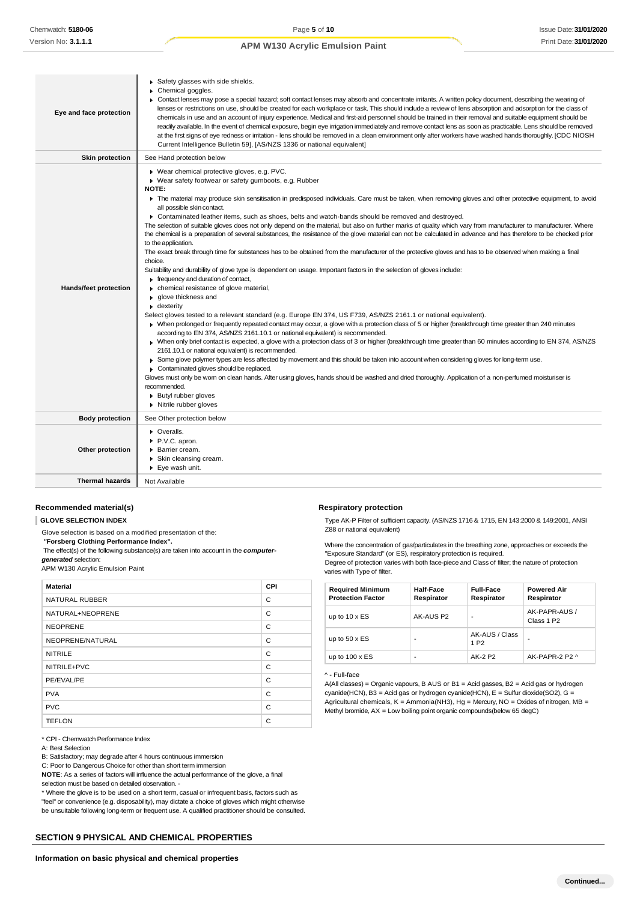| Eye and face protection      | Safety glasses with side shields.<br>Chemical goggles.<br>► Contact lenses may pose a special hazard; soft contact lenses may absorb and concentrate irritants. A written policy document, describing the wearing of<br>lenses or restrictions on use, should be created for each workplace or task. This should include a review of lens absorption and adsorption for the class of<br>chemicals in use and an account of injury experience. Medical and first-aid personnel should be trained in their removal and suitable equipment should be<br>readily available. In the event of chemical exposure, begin eye irrigation immediately and remove contact lens as soon as practicable. Lens should be removed<br>at the first signs of eye redness or irritation - lens should be removed in a clean environment only after workers have washed hands thoroughly. [CDC NIOSH<br>Current Intelligence Bulletin 59], [AS/NZS 1336 or national equivalent]                                                                                                                                                                                                                                                                                                                                                                                                                                                                                                                                                                                                                                                                                                                                                                                                                                                                                                                                                                                                                                                                                                                                                                                                                                                         |
|------------------------------|----------------------------------------------------------------------------------------------------------------------------------------------------------------------------------------------------------------------------------------------------------------------------------------------------------------------------------------------------------------------------------------------------------------------------------------------------------------------------------------------------------------------------------------------------------------------------------------------------------------------------------------------------------------------------------------------------------------------------------------------------------------------------------------------------------------------------------------------------------------------------------------------------------------------------------------------------------------------------------------------------------------------------------------------------------------------------------------------------------------------------------------------------------------------------------------------------------------------------------------------------------------------------------------------------------------------------------------------------------------------------------------------------------------------------------------------------------------------------------------------------------------------------------------------------------------------------------------------------------------------------------------------------------------------------------------------------------------------------------------------------------------------------------------------------------------------------------------------------------------------------------------------------------------------------------------------------------------------------------------------------------------------------------------------------------------------------------------------------------------------------------------------------------------------------------------------------------------------|
| <b>Skin protection</b>       | See Hand protection below                                                                                                                                                                                                                                                                                                                                                                                                                                                                                                                                                                                                                                                                                                                                                                                                                                                                                                                                                                                                                                                                                                                                                                                                                                                                                                                                                                                                                                                                                                                                                                                                                                                                                                                                                                                                                                                                                                                                                                                                                                                                                                                                                                                            |
| <b>Hands/feet protection</b> | ▶ Wear chemical protective gloves, e.g. PVC.<br>▶ Wear safety footwear or safety gumboots, e.g. Rubber<br>NOTE:<br>The material may produce skin sensitisation in predisposed individuals. Care must be taken, when removing gloves and other protective equipment, to avoid<br>all possible skin contact.<br>► Contaminated leather items, such as shoes, belts and watch-bands should be removed and destroyed.<br>The selection of suitable gloves does not only depend on the material, but also on further marks of quality which vary from manufacturer to manufacturer. Where<br>the chemical is a preparation of several substances, the resistance of the glove material can not be calculated in advance and has therefore to be checked prior<br>to the application.<br>The exact break through time for substances has to be obtained from the manufacturer of the protective gloves and has to be observed when making a final<br>choice.<br>Suitability and durability of glove type is dependent on usage. Important factors in the selection of gloves include:<br>Frequency and duration of contact,<br>• chemical resistance of glove material,<br>▶ qlove thickness and<br>• dexterity<br>Select gloves tested to a relevant standard (e.g. Europe EN 374, US F739, AS/NZS 2161.1 or national equivalent).<br>▶ When prolonged or frequently repeated contact may occur, a glove with a protection class of 5 or higher (breakthrough time greater than 240 minutes<br>according to EN 374, AS/NZS 2161.10.1 or national equivalent) is recommended.<br>▶ When only brief contact is expected, a glove with a protection class of 3 or higher (breakthrough time greater than 60 minutes according to EN 374, AS/NZS<br>2161.10.1 or national equivalent) is recommended.<br>► Some glove polymer types are less affected by movement and this should be taken into account when considering gloves for long-term use.<br>Contaminated gloves should be replaced.<br>Gloves must only be wom on clean hands. After using gloves, hands should be washed and dried thoroughly. Application of a non-perfumed moisturiser is<br>recommended.<br><b>Butyl rubber gloves</b><br>Nitrile rubber gloves |
| <b>Body protection</b>       | See Other protection below                                                                                                                                                                                                                                                                                                                                                                                                                                                                                                                                                                                                                                                                                                                                                                                                                                                                                                                                                                                                                                                                                                                                                                                                                                                                                                                                                                                                                                                                                                                                                                                                                                                                                                                                                                                                                                                                                                                                                                                                                                                                                                                                                                                           |
| Other protection             | • Overalls.<br>P.V.C. apron.<br>Barrier cream.<br>Skin cleansing cream.<br>▶ Eye wash unit.                                                                                                                                                                                                                                                                                                                                                                                                                                                                                                                                                                                                                                                                                                                                                                                                                                                                                                                                                                                                                                                                                                                                                                                                                                                                                                                                                                                                                                                                                                                                                                                                                                                                                                                                                                                                                                                                                                                                                                                                                                                                                                                          |
| <b>Thermal hazards</b>       | Not Available                                                                                                                                                                                                                                                                                                                                                                                                                                                                                                                                                                                                                                                                                                                                                                                                                                                                                                                                                                                                                                                                                                                                                                                                                                                                                                                                                                                                                                                                                                                                                                                                                                                                                                                                                                                                                                                                                                                                                                                                                                                                                                                                                                                                        |

### **Recommended material(s)**

**GLOVE SELECTION INDEX**

Glove selection is based on a modified presentation of the:

*"***Forsberg Clothing Performance Index".**

The effect(s) of the following substance(s) are taken into account in the *computergenerated* selection:

APM W130 Acrylic Emulsion Paint

| <b>Material</b>       | <b>CPI</b> |
|-----------------------|------------|
| <b>NATURAL RUBBER</b> | C          |
| NATURAL+NEOPRENE      | C          |
| <b>NEOPRENE</b>       | C          |
| NEOPRENE/NATURAL      | C          |
| <b>NITRILE</b>        | C          |
| NITRILE+PVC           | C          |
| PE/EVAL/PE            | C          |
| <b>PVA</b>            | C          |
| <b>PVC</b>            | C          |
| <b>TEFLON</b>         | C          |

\* CPI - Chemwatch Performance Index

A: Best Selection

B: Satisfactory; may degrade after 4 hours continuous immersion

C: Poor to Dangerous Choice for other than short term immersion

**NOTE**: As a series of factors will influence the actual performance of the glove, a final selection must be based on detailed observation. -

\* Where the glove is to be used on a short term, casual or infrequent basis, factors such as "feel" or convenience (e.g. disposability), may dictate a choice of gloves which might otherwise be unsuitable following long-term or frequent use. A qualified practitioner should be consulted.

## **SECTION 9 PHYSICAL AND CHEMICAL PROPERTIES**

### **Respiratory protection**

Type AK-P Filter of sufficient capacity. (AS/NZS 1716 & 1715, EN 143:2000 & 149:2001, ANSI Z88 or national equivalent)

Where the concentration of gas/particulates in the breathing zone, approaches or exceeds the "Exposure Standard" (or ES), respiratory protection is required.

Degree of protection varies with both face-piece and Class of filter; the nature of protection varies with Type of filter.

| <b>Required Minimum</b><br><b>Protection Factor</b> | Half-Face<br>Respirator  | <b>Full-Face</b><br>Respirator     | <b>Powered Air</b><br>Respirator        |
|-----------------------------------------------------|--------------------------|------------------------------------|-----------------------------------------|
| up to $10 \times ES$                                | AK-AUS P2                | ٠                                  | AK-PAPR-AUS /<br>Class 1 P <sub>2</sub> |
| up to $50 \times ES$                                | $\overline{\phantom{a}}$ | AK-AUS / Class<br>1 P <sub>2</sub> |                                         |
| up to $100 \times ES$                               | ٠                        | AK-2 P2                            | AK-PAPR-2 P2 ^                          |

#### ^ - Full-face

A(All classes) = Organic vapours, B AUS or B1 = Acid gasses, B2 = Acid gas or hydrogen cyanide(HCN), B3 = Acid gas or hydrogen cyanide(HCN), E = Sulfur dioxide(SO2), G = Agricultural chemicals,  $K =$  Ammonia(NH3), Hg = Mercury, NO = Oxides of nitrogen, MB = Methyl bromide, AX = Low boiling point organic compounds(below 65 degC)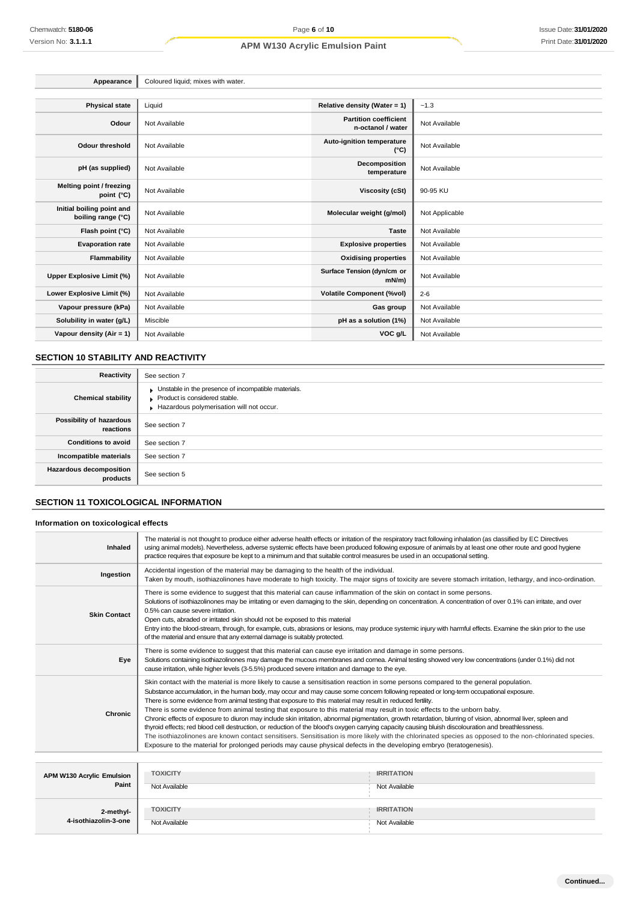| Appearance                                      | Coloured liquid; mixes with water. |                                                   |                |  |
|-------------------------------------------------|------------------------------------|---------------------------------------------------|----------------|--|
|                                                 |                                    |                                                   |                |  |
| <b>Physical state</b>                           | Liquid                             | Relative density (Water = 1)                      | $-1.3$         |  |
| Odour                                           | Not Available                      | <b>Partition coefficient</b><br>n-octanol / water | Not Available  |  |
| <b>Odour threshold</b>                          | Not Available                      | <b>Auto-ignition temperature</b><br>$(^{\circ}C)$ | Not Available  |  |
| pH (as supplied)                                | Not Available                      | Decomposition<br>temperature                      | Not Available  |  |
| Melting point / freezing<br>point (°C)          | Not Available                      | Viscosity (cSt)                                   | 90-95 KU       |  |
| Initial boiling point and<br>boiling range (°C) | Not Available                      | Molecular weight (g/mol)                          | Not Applicable |  |
| Flash point (°C)                                | Not Available                      | <b>Taste</b>                                      | Not Available  |  |
| <b>Evaporation rate</b>                         | Not Available                      | <b>Explosive properties</b>                       | Not Available  |  |
| Flammability                                    | Not Available                      | <b>Oxidising properties</b>                       | Not Available  |  |
| <b>Upper Explosive Limit (%)</b>                | Not Available                      | Surface Tension (dyn/cm or<br>$mN/m$ )            | Not Available  |  |
| Lower Explosive Limit (%)                       | Not Available                      | <b>Volatile Component (%vol)</b>                  | $2 - 6$        |  |
| Vapour pressure (kPa)                           | Not Available                      | Gas group                                         | Not Available  |  |
| Solubility in water (g/L)                       | Miscible                           | pH as a solution (1%)                             | Not Available  |  |
| Vapour density (Air = $1$ )                     | Not Available                      | VOC g/L                                           | Not Available  |  |

# **SECTION 10 STABILITY AND REACTIVITY**

| Reactivity                                 | See section 7                                                                                                                    |
|--------------------------------------------|----------------------------------------------------------------------------------------------------------------------------------|
| <b>Chemical stability</b>                  | Unstable in the presence of incompatible materials.<br>Product is considered stable.<br>Hazardous polymerisation will not occur. |
| Possibility of hazardous<br>reactions      | See section 7                                                                                                                    |
| <b>Conditions to avoid</b>                 | See section 7                                                                                                                    |
| Incompatible materials                     | See section 7                                                                                                                    |
| <b>Hazardous decomposition</b><br>products | See section 5                                                                                                                    |

# **SECTION 11 TOXICOLOGICAL INFORMATION**

# **Information on toxicological effects**

**4-isothiazolin-3-one**

| Inhaled                                   | The material is not thought to produce either adverse health effects or irritation of the respiratory tract following inhalation (as classified by EC Directives<br>using animal models). Nevertheless, adverse systemic effects have been produced following exposure of animals by at least one other route and good hygiene<br>practice requires that exposure be kept to a minimum and that suitable control measures be used in an occupational setting.                                                                                                                                                                                                                                                                                                                                                                                                                                                                                                                                                                                                                                                                      |                                    |  |
|-------------------------------------------|------------------------------------------------------------------------------------------------------------------------------------------------------------------------------------------------------------------------------------------------------------------------------------------------------------------------------------------------------------------------------------------------------------------------------------------------------------------------------------------------------------------------------------------------------------------------------------------------------------------------------------------------------------------------------------------------------------------------------------------------------------------------------------------------------------------------------------------------------------------------------------------------------------------------------------------------------------------------------------------------------------------------------------------------------------------------------------------------------------------------------------|------------------------------------|--|
| Ingestion                                 | Accidental ingestion of the material may be damaging to the health of the individual.<br>Taken by mouth, isothiazolinones have moderate to high toxicity. The major signs of toxicity are severe stomach irritation, lethargy, and inco-ordination.                                                                                                                                                                                                                                                                                                                                                                                                                                                                                                                                                                                                                                                                                                                                                                                                                                                                                |                                    |  |
| <b>Skin Contact</b>                       | There is some evidence to suggest that this material can cause inflammation of the skin on contact in some persons.<br>Solutions of isothiazolinones may be irritating or even damaging to the skin, depending on concentration. A concentration of over 0.1% can irritate, and over<br>0.5% can cause severe irritation.<br>Open cuts, abraded or irritated skin should not be exposed to this material<br>Entry into the blood-stream, through, for example, cuts, abrasions or lesions, may produce systemic injury with harmful effects. Examine the skin prior to the use<br>of the material and ensure that any external damage is suitably protected.                                                                                                                                                                                                                                                                                                                                                                                                                                                                       |                                    |  |
| Eye                                       | There is some evidence to suggest that this material can cause eye irritation and damage in some persons.<br>Solutions containing isothiazolinones may damage the mucous membranes and comea. Animal testing showed very low concentrations (under 0.1%) did not<br>cause irritation, while higher levels (3-5.5%) produced severe irritation and damage to the eye.                                                                                                                                                                                                                                                                                                                                                                                                                                                                                                                                                                                                                                                                                                                                                               |                                    |  |
| Chronic                                   | Skin contact with the material is more likely to cause a sensitisation reaction in some persons compared to the general population.<br>Substance accumulation, in the human body, may occur and may cause some concern following repeated or long-term occupational exposure.<br>There is some evidence from animal testing that exposure to this material may result in reduced fertility.<br>There is some evidence from animal testing that exposure to this material may result in toxic effects to the unborn baby.<br>Chronic effects of exposure to diuron may include skin irritation, abnormal pigmentation, growth retardation, blurring of vision, abnormal liver, spleen and<br>thyroid effects; red blood cell destruction, or reduction of the blood's oxygen carrying capacity causing bluish discolouration and breathlessness.<br>The isothiazolinones are known contact sensitisers. Sensitisation is more likely with the chlorinated species as opposed to the non-chlorinated species.<br>Exposure to the material for prolonged periods may cause physical defects in the developing embryo (teratogenesis). |                                    |  |
|                                           |                                                                                                                                                                                                                                                                                                                                                                                                                                                                                                                                                                                                                                                                                                                                                                                                                                                                                                                                                                                                                                                                                                                                    |                                    |  |
| <b>APM W130 Acrylic Emulsion</b><br>Paint | <b>TOXICITY</b><br>Not Available                                                                                                                                                                                                                                                                                                                                                                                                                                                                                                                                                                                                                                                                                                                                                                                                                                                                                                                                                                                                                                                                                                   | <b>IRRITATION</b><br>Not Available |  |
| 2-methyl-                                 | <b>TOXICITY</b>                                                                                                                                                                                                                                                                                                                                                                                                                                                                                                                                                                                                                                                                                                                                                                                                                                                                                                                                                                                                                                                                                                                    | <b>IRRITATION</b>                  |  |

Not Available Not Available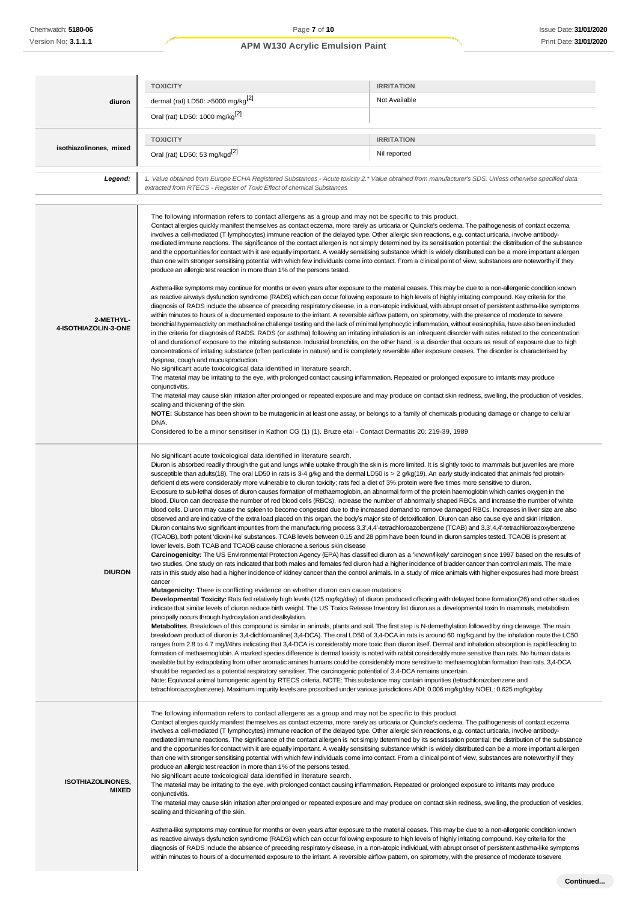|                                          | <b>TOXICITY</b>                                                                                                                                                                                                                                                                                                                                                                                                                                                                                                                                                                                                                                                                                                                                                                                                                                                                                                                                                                                                                                                                                                                                                                                                                                                                                                                                                                                                                                                                                                                                                                                                                                                                                                                                                                                                                                                                                                                                                                                                                                                                                                                                                                                                                                                                                                                                                                                                                                                                                                                                                                                                                                                                                                                                                                                                                                                                                                                                                                                                                                                                                                                                                                                                                                                                                                                                                                                                                                                                                                                                                                                                                                                                                                                                                  | <b>IRRITATION</b>                                                                                                  |  |  |
|------------------------------------------|------------------------------------------------------------------------------------------------------------------------------------------------------------------------------------------------------------------------------------------------------------------------------------------------------------------------------------------------------------------------------------------------------------------------------------------------------------------------------------------------------------------------------------------------------------------------------------------------------------------------------------------------------------------------------------------------------------------------------------------------------------------------------------------------------------------------------------------------------------------------------------------------------------------------------------------------------------------------------------------------------------------------------------------------------------------------------------------------------------------------------------------------------------------------------------------------------------------------------------------------------------------------------------------------------------------------------------------------------------------------------------------------------------------------------------------------------------------------------------------------------------------------------------------------------------------------------------------------------------------------------------------------------------------------------------------------------------------------------------------------------------------------------------------------------------------------------------------------------------------------------------------------------------------------------------------------------------------------------------------------------------------------------------------------------------------------------------------------------------------------------------------------------------------------------------------------------------------------------------------------------------------------------------------------------------------------------------------------------------------------------------------------------------------------------------------------------------------------------------------------------------------------------------------------------------------------------------------------------------------------------------------------------------------------------------------------------------------------------------------------------------------------------------------------------------------------------------------------------------------------------------------------------------------------------------------------------------------------------------------------------------------------------------------------------------------------------------------------------------------------------------------------------------------------------------------------------------------------------------------------------------------------------------------------------------------------------------------------------------------------------------------------------------------------------------------------------------------------------------------------------------------------------------------------------------------------------------------------------------------------------------------------------------------------------------------------------------------------------------------------------------------|--------------------------------------------------------------------------------------------------------------------|--|--|
| diuron                                   | dermal (rat) LD50: >5000 mg/kg <sup>[2]</sup>                                                                                                                                                                                                                                                                                                                                                                                                                                                                                                                                                                                                                                                                                                                                                                                                                                                                                                                                                                                                                                                                                                                                                                                                                                                                                                                                                                                                                                                                                                                                                                                                                                                                                                                                                                                                                                                                                                                                                                                                                                                                                                                                                                                                                                                                                                                                                                                                                                                                                                                                                                                                                                                                                                                                                                                                                                                                                                                                                                                                                                                                                                                                                                                                                                                                                                                                                                                                                                                                                                                                                                                                                                                                                                                    | Not Available                                                                                                      |  |  |
|                                          | Oral (rat) LD50: 1000 mg/kg <sup>[2]</sup>                                                                                                                                                                                                                                                                                                                                                                                                                                                                                                                                                                                                                                                                                                                                                                                                                                                                                                                                                                                                                                                                                                                                                                                                                                                                                                                                                                                                                                                                                                                                                                                                                                                                                                                                                                                                                                                                                                                                                                                                                                                                                                                                                                                                                                                                                                                                                                                                                                                                                                                                                                                                                                                                                                                                                                                                                                                                                                                                                                                                                                                                                                                                                                                                                                                                                                                                                                                                                                                                                                                                                                                                                                                                                                                       |                                                                                                                    |  |  |
|                                          | <b>TOXICITY</b>                                                                                                                                                                                                                                                                                                                                                                                                                                                                                                                                                                                                                                                                                                                                                                                                                                                                                                                                                                                                                                                                                                                                                                                                                                                                                                                                                                                                                                                                                                                                                                                                                                                                                                                                                                                                                                                                                                                                                                                                                                                                                                                                                                                                                                                                                                                                                                                                                                                                                                                                                                                                                                                                                                                                                                                                                                                                                                                                                                                                                                                                                                                                                                                                                                                                                                                                                                                                                                                                                                                                                                                                                                                                                                                                                  | <b>IRRITATION</b>                                                                                                  |  |  |
| isothiazolinones, mixed                  | Oral (rat) LD50: 53 mg/kgd <sup>[2]</sup>                                                                                                                                                                                                                                                                                                                                                                                                                                                                                                                                                                                                                                                                                                                                                                                                                                                                                                                                                                                                                                                                                                                                                                                                                                                                                                                                                                                                                                                                                                                                                                                                                                                                                                                                                                                                                                                                                                                                                                                                                                                                                                                                                                                                                                                                                                                                                                                                                                                                                                                                                                                                                                                                                                                                                                                                                                                                                                                                                                                                                                                                                                                                                                                                                                                                                                                                                                                                                                                                                                                                                                                                                                                                                                                        | Nil reported                                                                                                       |  |  |
| Legend:                                  | 1. Value obtained from Europe ECHA Registered Substances - Acute toxicity 2.* Value obtained from manufacturer's SDS. Unless otherwise specified data<br>extracted from RTECS - Register of Toxic Effect of chemical Substances                                                                                                                                                                                                                                                                                                                                                                                                                                                                                                                                                                                                                                                                                                                                                                                                                                                                                                                                                                                                                                                                                                                                                                                                                                                                                                                                                                                                                                                                                                                                                                                                                                                                                                                                                                                                                                                                                                                                                                                                                                                                                                                                                                                                                                                                                                                                                                                                                                                                                                                                                                                                                                                                                                                                                                                                                                                                                                                                                                                                                                                                                                                                                                                                                                                                                                                                                                                                                                                                                                                                  |                                                                                                                    |  |  |
|                                          | The following information refers to contact allergens as a group and may not be specific to this product.<br>Contact allergies quickly manifest themselves as contact eczema, more rarely as urticaria or Quincke's oedema. The pathogenesis of contact eczema<br>involves a cell-mediated (T lymphocytes) immune reaction of the delayed type. Other allergic skin reactions, e.g. contact urticaria, involve antibody-<br>mediated immune reactions. The significance of the contact allergen is not simply determined by its sensitisation potential: the distribution of the substance<br>and the opportunities for contact with it are equally important. A weakly sensitising substance which is widely distributed can be a more important allergen<br>than one with stronger sensitising potential with which few individuals come into contact. From a clinical point of view, substances are noteworthy if they<br>produce an allergic test reaction in more than 1% of the persons tested.                                                                                                                                                                                                                                                                                                                                                                                                                                                                                                                                                                                                                                                                                                                                                                                                                                                                                                                                                                                                                                                                                                                                                                                                                                                                                                                                                                                                                                                                                                                                                                                                                                                                                                                                                                                                                                                                                                                                                                                                                                                                                                                                                                                                                                                                                                                                                                                                                                                                                                                                                                                                                                                                                                                                                            |                                                                                                                    |  |  |
| 2-METHYL-<br>4-ISOTHIAZOLIN-3-ONE        | Asthma-like symptoms may continue for months or even years after exposure to the material ceases. This may be due to a non-allergenic condition known<br>as reactive airways dysfunction syndrome (RADS) which can occur following exposure to high levels of highly irritating compound. Key criteria for the<br>diagnosis of RADS include the absence of preceding respiratory disease, in a non-atopic individual, with abrupt onset of persistent asthma-like symptoms<br>within minutes to hours of a documented exposure to the irritant. A reversible airflow pattern, on spirometry, with the presence of moderate to severe<br>bronchial hyperreactivity on methacholine challenge testing and the lack of minimal lymphocytic inflammation, without eosinophilia, have also been included<br>in the criteria for diagnosis of RADS. RADS (or asthma) following an irritating inhalation is an infrequent disorder with rates related to the concentration<br>of and duration of exposure to the irritating substance. Industrial bronchitis, on the other hand, is a disorder that occurs as result of exposure due to high<br>concentrations of irritating substance (often particulate in nature) and is completely reversible after exposure ceases. The disorder is characterised by<br>dyspnea, cough and mucus production.<br>No significant acute toxicological data identified in literature search.<br>The material may be irritating to the eye, with prolonged contact causing inflammation. Repeated or prolonged exposure to irritants may produce<br>conjunctivitis.<br>The material may cause skin irritation after prolonged or repeated exposure and may produce on contact skin redness, swelling, the production of vesicles,<br>scaling and thickening of the skin.<br>NOTE: Substance has been shown to be mutagenic in at least one assay, or belongs to a family of chemicals producing damage or change to cellular                                                                                                                                                                                                                                                                                                                                                                                                                                                                                                                                                                                                                                                                                                                                                                                                                                                                                                                                                                                                                                                                                                                                                                                                                                                                                                                                                                                                                                                                                                                                                                                                                                                                                                                                                                                                            |                                                                                                                    |  |  |
|                                          |                                                                                                                                                                                                                                                                                                                                                                                                                                                                                                                                                                                                                                                                                                                                                                                                                                                                                                                                                                                                                                                                                                                                                                                                                                                                                                                                                                                                                                                                                                                                                                                                                                                                                                                                                                                                                                                                                                                                                                                                                                                                                                                                                                                                                                                                                                                                                                                                                                                                                                                                                                                                                                                                                                                                                                                                                                                                                                                                                                                                                                                                                                                                                                                                                                                                                                                                                                                                                                                                                                                                                                                                                                                                                                                                                                  | DNA.<br>Considered to be a minor sensitiser in Kathon CG (1) (1). Bruze etal - Contact Dermatitis 20: 219-39, 1989 |  |  |
| <b>DIURON</b>                            | No significant acute toxicological data identified in literature search.<br>Diuron is absorbed readily through the gut and lungs while uptake through the skin is more limited. It is slightly toxic to mammals but juveniles are more<br>susceptible than adults(18). The oral LD50 in rats is 3-4 g/kg and the dermal LD50 is > 2 g/kg(19). An early study indicated that animals fed protein-<br>deficient diets were considerably more vulnerable to diuron toxicity; rats fed a diet of 3% protein were five times more sensitive to diuron.<br>Exposure to sub-lethal doses of diuron causes formation of methaemoglobin, an abnormal form of the protein haemoglobin which carries oxygen in the<br>blood. Diuron can decrease the number of red blood cells (RBCs), increase the number of abnormally shaped RBCs, and increase the number of white<br>blood cells. Diuron may cause the spleen to become congested due to the increased demand to remove damaged RBCs. Increases in liver size are also<br>observed and are indicative of the extra load placed on this organ, the body's major site of detoxification. Diuron can also cause eye and skin irritation.<br>Diuron contains two significant impurities from the manufacturing process 3,3',4,4'-tetrachloroazobenzene (TCAB) and 3,3',4,4'-tetrachloroazoxybenzene<br>(TCAOB), both potent 'dioxin-like' substances. TCAB levels between 0.15 and 28 ppm have been found in diuron samples tested. TCAOB is present at<br>lower levels. Both TCAB and TCAOB cause chloracne a serious skin disease<br>Carcinogenicity: The US Environmental Protection Agency (EPA) has classified diuron as a 'known/likely' carcinogen since 1997 based on the results of<br>two studies. One study on rats indicated that both males and females fed diuron had a higher incidence of bladder cancer than control animals. The male<br>rats in this study also had a higher incidence of kidney cancer than the control animals. In a study of mice animals with higher exposures had more breast<br>cancer<br><b>Mutagenicity:</b> There is conflicting evidence on whether diuron can cause mutations<br>Developmental Toxicity: Rats fed relatively high levels (125 mg/kg/day) of diuron produced offspring with delayed bone formation(26) and other studies<br>indicate that similar levels of diuron reduce birth weight. The US Toxics Release Inventory list diuron as a developmental toxin In mammals, metabolism<br>principally occurs through hydroxylation and dealkylation.<br>Metabolites. Breakdown of this compound is similar in animals, plants and soil. The first step is N-demethylation followed by ring cleavage. The main<br>breakdown product of diuron is 3,4-dichloroaniline(3,4-DCA). The oral LD50 of 3,4-DCA in rats is around 60 mg/kg and by the inhalation route the LC50<br>ranges from 2.8 to 4.7 mg/l/4hrs indicating that 3,4-DCA is considerably more toxic than diuron itself. Dermal and inhalation absorption is rapid leading to<br>formation of methaemoglobin. A marked species difference is dermal toxicity is noted with rabbit considerably more sensitive than rats. No human data is<br>available but by extrapolating from other aromatic amines humans could be considerably more sensitive to methaemoglobin formation than rats. 3,4-DCA<br>should be regarded as a potential respiratory sensitiser. The carcinogenic potential of 3,4-DCA remains uncertain.<br>Note: Equivocal animal tumorigenic agent by RTECS criteria. NOTE: This substance may contain impurities (tetrachlorazobenzene and<br>tetrachloroazoxybenzene). Maximum impurity levels are proscribed under various jurisdictions ADI: 0.006 mg/kg/day NOEL: 0.625 mg/kg/day |                                                                                                                    |  |  |
| <b>ISOTHIAZOLINONES,</b><br><b>MIXED</b> | The following information refers to contact allergens as a group and may not be specific to this product.<br>Contact allergies quickly manifest themselves as contact eczema, more rarely as urticaria or Quincke's oedema. The pathogenesis of contact eczema<br>involves a cell-mediated (T lymphocytes) immune reaction of the delayed type. Other allergic skin reactions, e.g. contact urticaria, involve antibody-<br>mediated immune reactions. The significance of the contact allergen is not simply determined by its sensitisation potential: the distribution of the substance<br>and the opportunities for contact with it are equally important. A weakly sensitising substance which is widely distributed can be a more important allergen<br>than one with stronger sensitising potential with which few individuals come into contact. From a clinical point of view, substances are noteworthy if they<br>produce an allergic test reaction in more than 1% of the persons tested.<br>No significant acute toxicological data identified in literature search.<br>The material may be irritating to the eye, with prolonged contact causing inflammation. Repeated or prolonged exposure to irritants may produce<br>conjunctivitis.<br>The material may cause skin irritation after prolonged or repeated exposure and may produce on contact skin redness, swelling, the production of vesicles,<br>scaling and thickening of the skin.<br>Asthma-like symptoms may continue for months or even years after exposure to the material ceases. This may be due to a non-allergenic condition known<br>as reactive airways dysfunction syndrome (RADS) which can occur following exposure to high levels of highly irritating compound. Key criteria for the<br>diagnosis of RADS include the absence of preceding respiratory disease, in a non-atopic individual, with abrupt onset of persistent asthma-like symptoms<br>within minutes to hours of a documented exposure to the irritant. A reversible airflow pattern, on spirometry, with the presence of moderate to severe                                                                                                                                                                                                                                                                                                                                                                                                                                                                                                                                                                                                                                                                                                                                                                                                                                                                                                                                                                                                                                                                                                                                                                                                                                                                                                                                                                                                                                                                                                                                                                                                                                                             |                                                                                                                    |  |  |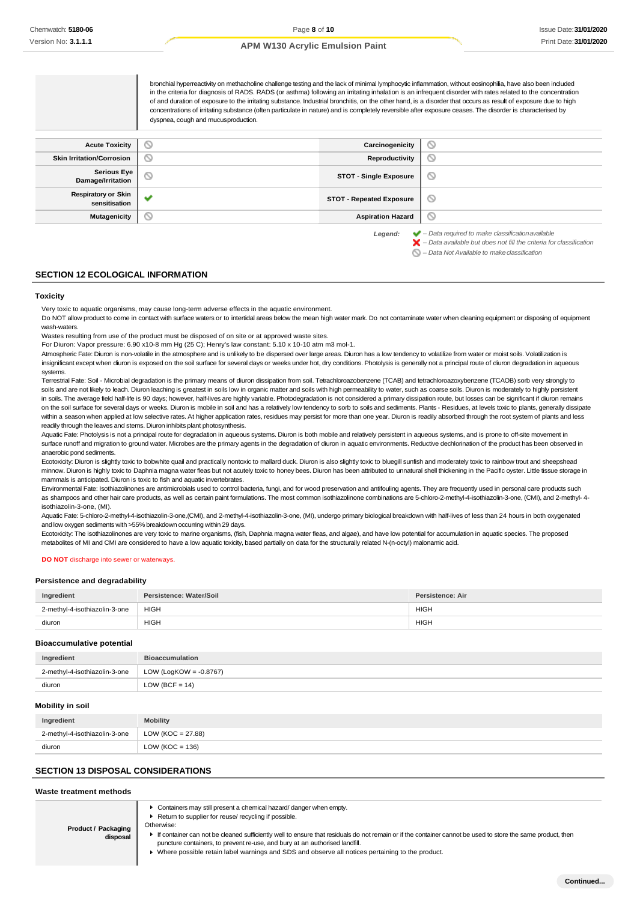|                                             | bronchial hyperreactivity on methacholine challenge testing and the lack of minimal lymphocytic inflammation, without eosinophilia, have also been included<br>in the criteria for diagnosis of RADS. RADS (or asthma) following an irritating inhalation is an infrequent disorder with rates related to the concentration<br>of and duration of exposure to the irritating substance. Industrial bronchitis, on the other hand, is a disorder that occurs as result of exposure due to high<br>concentrations of irritating substance (often particulate in nature) and is completely reversible after exposure ceases. The disorder is characterised by<br>dyspnea, cough and mucus production. |                                 |                                                                                                                                                                    |
|---------------------------------------------|----------------------------------------------------------------------------------------------------------------------------------------------------------------------------------------------------------------------------------------------------------------------------------------------------------------------------------------------------------------------------------------------------------------------------------------------------------------------------------------------------------------------------------------------------------------------------------------------------------------------------------------------------------------------------------------------------|---------------------------------|--------------------------------------------------------------------------------------------------------------------------------------------------------------------|
| <b>Acute Toxicity</b>                       | N                                                                                                                                                                                                                                                                                                                                                                                                                                                                                                                                                                                                                                                                                                  | Carcinogenicity                 | O                                                                                                                                                                  |
| <b>Skin Irritation/Corrosion</b>            | N                                                                                                                                                                                                                                                                                                                                                                                                                                                                                                                                                                                                                                                                                                  | Reproductivity                  | O                                                                                                                                                                  |
| <b>Serious Eye</b><br>Damage/Irritation     | Ø                                                                                                                                                                                                                                                                                                                                                                                                                                                                                                                                                                                                                                                                                                  | <b>STOT - Single Exposure</b>   | O                                                                                                                                                                  |
| <b>Respiratory or Skin</b><br>sensitisation |                                                                                                                                                                                                                                                                                                                                                                                                                                                                                                                                                                                                                                                                                                    | <b>STOT - Repeated Exposure</b> | ◎                                                                                                                                                                  |
| Mutagenicity                                | N                                                                                                                                                                                                                                                                                                                                                                                                                                                                                                                                                                                                                                                                                                  | <b>Aspiration Hazard</b>        | O                                                                                                                                                                  |
|                                             |                                                                                                                                                                                                                                                                                                                                                                                                                                                                                                                                                                                                                                                                                                    | Legend:                         | $\blacktriangleright$ - Data required to make classification available<br>$\blacktriangleright$ – Data available but does not fill the criteria for classification |

*– Data Not Available to makeclassification*

### **SECTION 12 ECOLOGICAL INFORMATION**

#### **Toxicity**

Very toxic to aquatic organisms, may cause long-term adverse effects in the aquatic environment.

Do NOT allow product to come in contact with surface waters or to intertidal areas below the mean high water mark. Do not contaminate water when cleaning equipment or disposing of equipment wash-waters.

Wastes resulting from use of the product must be disposed of on site or at approved waste sites.

For Diuron: Vapor pressure: 6.90 x10-8 mm Hg (25 C); Henry's law constant: 5.10 x 10-10 atm m3 mol-1.

Atmospheric Fate: Diuron is non-volatile in the atmosphere and is unlikely to be dispersed over large areas. Diuron has a low tendency to volatilize from water or moist soils. Volatilization is insignificant except when diuron is exposed on the soil surface for several days or weeks under hot, dry conditions. Photolysis is generally not a principal route of diuron degradation in aqueous systems.

Terrestrial Fate: Soil - Microbial degradation is the primary means of diuron dissipation from soil. Tetrachloroazobenzene (TCAB) and tetrachloroazoxybenzene (TCAOB) sorb very strongly to soils and are not likely to leach. Diuron leaching is greatest in soils low in organic matter and soils with high permeability to water, such as coarse soils. Diuron is moderately to highly persistent in soils. The average field half-life is 90 days; however, half-lives are highly variable. Photodegradation is not considered a primary dissipation route, but losses can be significant if diuron remains on the soil surface for several days or weeks. Diuron is mobile in soil and has a relatively low tendency to sorb to soils and sediments. Plants - Residues, at levels toxic to plants, generally dissipate within a season when applied at low selective rates. At higher application rates, residues may persist for more than one year. Diuron is readily absorbed through the root system of plants and less readily through the leaves and stems. Diuron inhibits plant photosynthesis.

Aquatic Fate: Photolysis is not a principal route for degradation in aqueous systems. Diuron is both mobile and relatively persistent in aqueous systems, and is prone to off-site movement in surface runoff and migration to ground water. Microbes are the primary agents in the degradation of diuron in aquatic environments. Reductive dechlorination of the product has been observed in anaerobic pond sediments.

Ecotoxicity: Diuron is slightly toxic to bobwhite quail and practically nontoxic to mallard duck. Diuron is also slightly toxic to bluegill sunfish and moderately toxic to rainbow trout and sheepshead minnow. Diuron is highly toxic to Daphnia magna water fleas but not acutely toxic to honey bees. Diuron has been attributed to unnatural shell thickening in the Pacific oyster. Little tissue storage in mammals is anticipated. Diuron is toxic to fish and aquatic invertebrates.

Environmental Fate: Isothiazolinones are antimicrobials used to control bacteria, fungi, and for wood preservation and antifouling agents. They are frequently used in personal care products such as shampoos and other hair care products, as well as certain paint formulations. The most common isothiazolinone combinations are 5-chloro-2-methyl-4-isothiazolin-3-one, (CMI), and 2-methyl- 4 isothiazolin-3-one, (MI).

Aquatic Fate: 5-chloro-2-methyl-4-isothiazolin-3-one,(CMI), and 2-methyl-4-isothiazolin-3-one, (MI), undergo primary biological breakdown with half-lives of less than 24 hours in both oxygenated and low oxygen sediments with >55% breakdown occurring within 29 days.

Ecotoxicity: The isothiazolinones are very toxic to marine organisms, (fish, Daphnia magna water fleas, and algae), and have low potential for accumulation in aquatic species. The proposed metabolites of MI and CMI are considered to have a low aquatic toxicity, based partially on data for the structurally related N-(n-octyl) malonamic acid.

#### **DO NOT** discharge into sewer or waterways.

#### **Persistence and degradability**

| Ingredient                    | Persistence: Water/Soil | Persistence: Air |
|-------------------------------|-------------------------|------------------|
| 2-methyl-4-isothiazolin-3-one | <b>HIGH</b>             | <b>HIGH</b>      |
| diuron                        | <b>HIGH</b>             | <b>HIGH</b>      |

#### **Bioaccumulative potential**

| Ingredient                    | <b>Bioaccumulation</b>    |
|-------------------------------|---------------------------|
| 2-methyl-4-isothiazolin-3-one | LOW (LogKOW = $-0.8767$ ) |
| diuron                        | LOW (BCF = $14$ )         |

#### **Mobility in soil**

| Ingredient                    | <b>Mobility</b>     |
|-------------------------------|---------------------|
| 2-methyl-4-isothiazolin-3-one | LOW (KOC = 27.88)   |
| diuron                        | LOW ( $KOC = 136$ ) |

#### **SECTION 13 DISPOSAL CONSIDERATIONS**

#### **Waste treatment methods**

Containers may still present a chemical hazard/ danger when empty.

- ▶ Return to supplier for reuse/ recycling if possible.
- **Product / Packaging disposal** Otherwise: If container can not be cleaned sufficiently well to ensure that residuals do not remain or if the container cannot be used to store the same product, then puncture containers, to prevent re-use, and bury at an authorised landfill. Where possible retain label warnings and SDS and observe all notices pertaining to the product.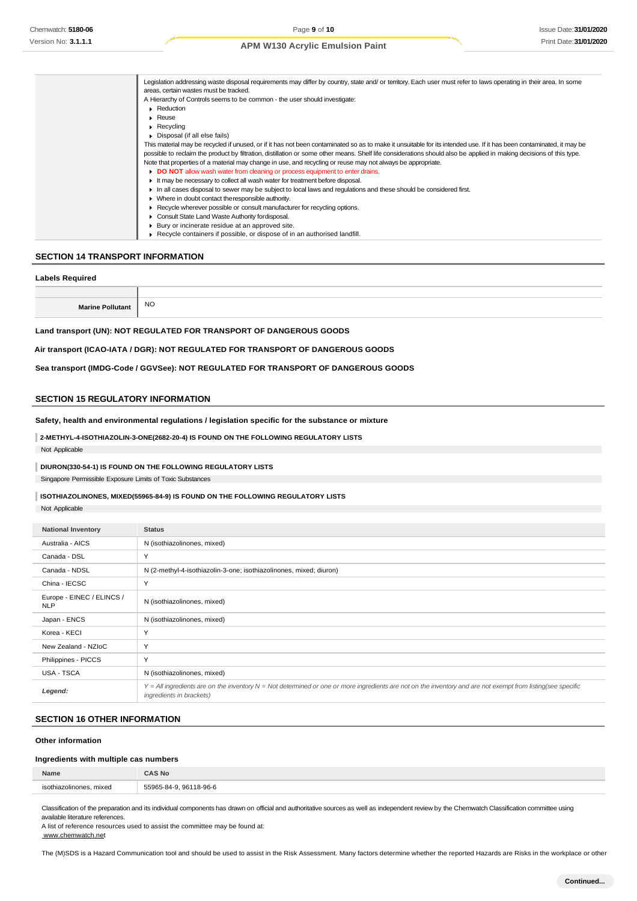| Legislation addressing waste disposal requirements may differ by country, state and/ or territory. Each user must refer to laws operating in their area. In some     |
|----------------------------------------------------------------------------------------------------------------------------------------------------------------------|
| areas, certain wastes must be tracked.                                                                                                                               |
| A Hierarchy of Controls seems to be common - the user should investigate:                                                                                            |
| Reduction                                                                                                                                                            |
| $\blacktriangleright$ Reuse                                                                                                                                          |
| $\triangleright$ Recycling                                                                                                                                           |
| Disposal (if all else fails)                                                                                                                                         |
| This material may be recycled if unused, or if it has not been contaminated so as to make it unsuitable for its intended use. If it has been contaminated, it may be |
| possible to reclaim the product by filtration, distillation or some other means. Shelf life considerations should also be applied in making decisions of this type.  |
| Note that properties of a material may change in use, and recycling or reuse may not always be appropriate.                                                          |
| DO NOT allow wash water from cleaning or process equipment to enter drains.                                                                                          |
| If may be necessary to collect all wash water for treatment before disposal.                                                                                         |
| In all cases disposal to sewer may be subject to local laws and regulations and these should be considered first.                                                    |
| • Where in doubt contact the responsible authority.                                                                                                                  |
| ► Recycle wherever possible or consult manufacturer for recycling options.                                                                                           |
| Consult State Land Waste Authority for disposal.                                                                                                                     |
| ▶ Bury or incinerate residue at an approved site.                                                                                                                    |
| $\triangleright$ Recycle containers if possible, or dispose of in an authorised landfill.                                                                            |

# **SECTION 14 TRANSPORT INFORMATION**

### **Labels Required**

| Marino | <b>NC</b> |
|--------|-----------|

**Land transport (UN): NOT REGULATED FOR TRANSPORT OF DANGEROUS GOODS**

### **Air transport (ICAO-IATA / DGR): NOT REGULATED FOR TRANSPORT OF DANGEROUS GOODS**

**Sea transport (IMDG-Code / GGVSee): NOT REGULATED FOR TRANSPORT OF DANGEROUS GOODS**

### **SECTION 15 REGULATORY INFORMATION**

**Safety, health and environmental regulations / legislation specific for the substance or mixture**

**2-METHYL-4-ISOTHIAZOLIN-3-ONE(2682-20-4) IS FOUND ON THE FOLLOWING REGULATORY LISTS** Not Applicable

### **DIURON(330-54-1) IS FOUND ON THE FOLLOWING REGULATORY LISTS**

Singapore Permissible Exposure Limits of Toxic Substances

# **ISOTHIAZOLINONES, MIXED(55965-84-9) IS FOUND ON THE FOLLOWING REGULATORY LISTS**

Not Applicable

| <b>National Inventory</b>               | <b>Status</b>                                                                                                                                                                            |
|-----------------------------------------|------------------------------------------------------------------------------------------------------------------------------------------------------------------------------------------|
| Australia - AICS                        | N (isothiazolinones, mixed)                                                                                                                                                              |
| Canada - DSL                            | Y                                                                                                                                                                                        |
| Canada - NDSL                           | N (2-methyl-4-isothiazolin-3-one; isothiazolinones, mixed; diuron)                                                                                                                       |
| China - IECSC                           | Y                                                                                                                                                                                        |
| Europe - EINEC / ELINCS /<br><b>NLP</b> | N (isothiazolinones, mixed)                                                                                                                                                              |
| Japan - ENCS                            | N (isothiazolinones, mixed)                                                                                                                                                              |
| Korea - KECI                            | Y                                                                                                                                                                                        |
| New Zealand - NZIoC                     | Y                                                                                                                                                                                        |
| Philippines - PICCS                     | Y                                                                                                                                                                                        |
| USA - TSCA                              | N (isothiazolinones, mixed)                                                                                                                                                              |
| Legend:                                 | Y = All ingredients are on the inventory N = Not determined or one or more ingredients are not on the inventory and are not exempt from listing(see specific<br>ingredients in brackets) |

# **SECTION 16 OTHER INFORMATION**

### **Other information**

# **Ingredients with multiple cas numbers**

| Name                                   | <b>AS No</b>              |
|----------------------------------------|---------------------------|
| mixed<br>olinones.<br><b>ISOthiazc</b> | 5506<br>8-96-6<br>ne<br>. |
|                                        |                           |

Classification of the preparation and its individual components has drawn on official and authoritative sources as well as independent review by the Chemwatch Classification committee using available literature references.

A list of reference resources used to assist the committee may be found at: [www.chemwatch.net](http://www.chemwatch.net/)

The (M)SDS is a Hazard Communication tool and should be used to assist in the Risk Assessment. Many factors determine whether the reported Hazards are Risks in the workplace or other